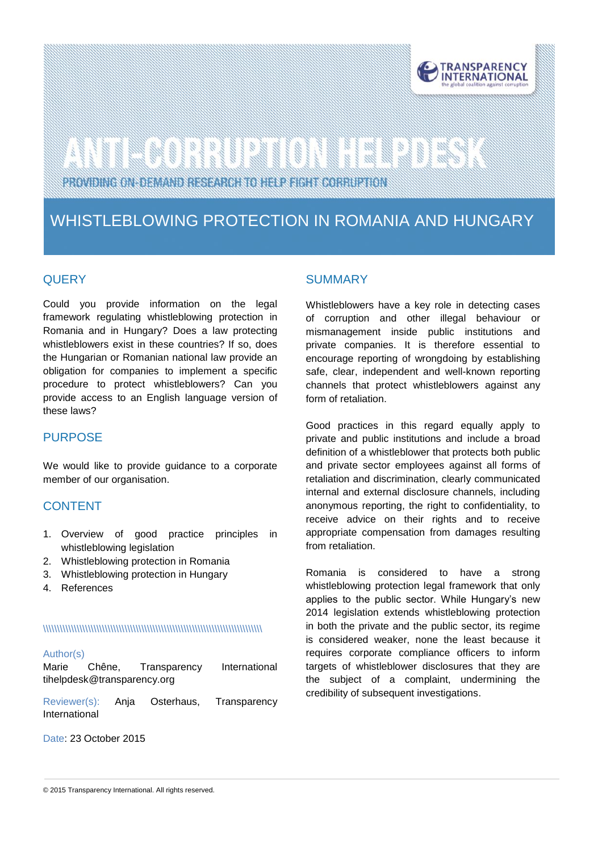

# 

PROVIDING ON-DEMAND RESEARCH TO HELP FIGHT CORRUPTION

### WHISTLEBLOWING PROTECTION IN ROMANIA AND HUNGARY

#### **QUERY**

Could you provide information on the legal framework regulating whistleblowing protection in Romania and in Hungary? Does a law protecting whistleblowers exist in these countries? If so, does the Hungarian or Romanian national law provide an obligation for companies to implement a specific procedure to protect whistleblowers? Can you provide access to an English language version of these laws?

#### PURPOSE

We would like to provide guidance to a corporate member of our organisation.

#### **CONTENT**

- 1. Overview of good practice principles in whistleblowing legislation
- 2. Whistleblowing protection in Romania
- 3. Whistleblowing protection in Hungary
- 4. References

#### \\\\\\\\\\\\\\\\\\\\\\\\\\\\\\\\\\\\\\\\\\\\\\\\\\\\\\\\\\\\\\\\\\\\\\\\\\\\\\

#### Author(s)

| Marie                       | Chêne. | Transparency | International |
|-----------------------------|--------|--------------|---------------|
| tihelpdesk@transparency.org |        |              |               |

Reviewer(s): Anja Osterhaus, Transparency International

Date: 23 October 2015

#### **SUMMARY**

Whistleblowers have a key role in detecting cases of corruption and other illegal behaviour or mismanagement inside public institutions and private companies. It is therefore essential to encourage reporting of wrongdoing by establishing safe, clear, independent and well-known reporting channels that protect whistleblowers against any form of retaliation.

Good practices in this regard equally apply to private and public institutions and include a broad definition of a whistleblower that protects both public and private sector employees against all forms of retaliation and discrimination, clearly communicated internal and external disclosure channels, including anonymous reporting, the right to confidentiality, to receive advice on their rights and to receive appropriate compensation from damages resulting from retaliation.

Romania is considered to have a strong whistleblowing protection legal framework that only applies to the public sector. While Hungary's new 2014 legislation extends whistleblowing protection in both the private and the public sector, its regime is considered weaker, none the least because it requires corporate compliance officers to inform targets of whistleblower disclosures that they are the subject of a complaint, undermining the credibility of subsequent investigations.

© 2015 Transparency International. All rights reserved.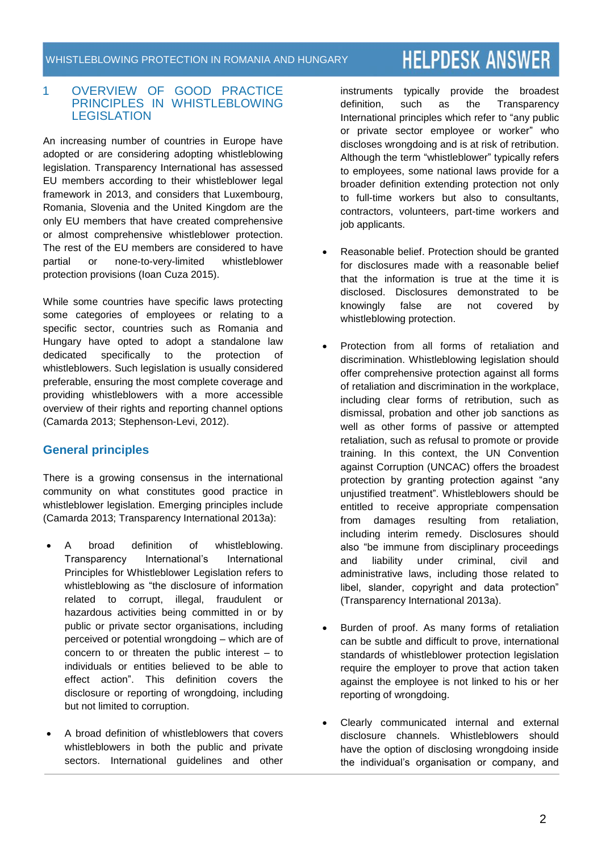## **HELPDESK ANSWER**

#### 1 OVERVIEW OF GOOD PRACTICE PRINCIPLES IN WHISTLEBLOWING **LEGISLATION**

An increasing number of countries in Europe have adopted or are considering adopting whistleblowing legislation. Transparency International has assessed EU members according to their whistleblower legal framework in 2013, and considers that Luxembourg, Romania, Slovenia and the United Kingdom are the only EU members that have created comprehensive or almost comprehensive whistleblower protection. The rest of the EU members are considered to have partial or none-to-very-limited whistleblower protection provisions (Ioan Cuza 2015).

While some countries have specific laws protecting some categories of employees or relating to a specific sector, countries such as Romania and Hungary have opted to adopt a standalone law dedicated specifically to the protection of whistleblowers. Such legislation is usually considered preferable, ensuring the most complete coverage and providing whistleblowers with a more accessible overview of their rights and reporting channel options (Camarda 2013; Stephenson-Levi, 2012).

#### **General principles**

There is a growing consensus in the international community on what constitutes good practice in whistleblower legislation. Emerging principles include (Camarda 2013; Transparency International 2013a):

- A broad definition of whistleblowing. Transparency International's International Principles for Whistleblower Legislation refers to whistleblowing as "the disclosure of information related to corrupt, illegal, fraudulent or hazardous activities being committed in or by public or private sector organisations, including perceived or potential wrongdoing – which are of concern to or threaten the public interest – to individuals or entities believed to be able to effect action". This definition covers the disclosure or reporting of wrongdoing, including but not limited to corruption.
- A broad definition of whistleblowers that covers whistleblowers in both the public and private sectors. International guidelines and other

instruments typically provide the broadest definition, such as the Transparency International principles which refer to "any public or private sector employee or worker" who discloses wrongdoing and is at risk of retribution. Although the term "whistleblower" typically refers to employees, some national laws provide for a broader definition extending protection not only to full-time workers but also to consultants, contractors, volunteers, part-time workers and job applicants.

- Reasonable belief. Protection should be granted for disclosures made with a reasonable belief that the information is true at the time it is disclosed. Disclosures demonstrated to be knowingly false are not covered by whistleblowing protection.
- Protection from all forms of retaliation and discrimination. Whistleblowing legislation should offer comprehensive protection against all forms of retaliation and discrimination in the workplace, including clear forms of retribution, such as dismissal, probation and other job sanctions as well as other forms of passive or attempted retaliation, such as refusal to promote or provide training. In this context, the UN Convention against Corruption (UNCAC) offers the broadest protection by granting protection against "any unjustified treatment". Whistleblowers should be entitled to receive appropriate compensation from damages resulting from retaliation, including interim remedy. Disclosures should also "be immune from disciplinary proceedings and liability under criminal, civil and administrative laws, including those related to libel, slander, copyright and data protection" (Transparency International 2013a).
- Burden of proof. As many forms of retaliation can be subtle and difficult to prove, international standards of whistleblower protection legislation require the employer to prove that action taken against the employee is not linked to his or her reporting of wrongdoing.
- Clearly communicated internal and external disclosure channels. Whistleblowers should have the option of disclosing wrongdoing inside the individual's organisation or company, and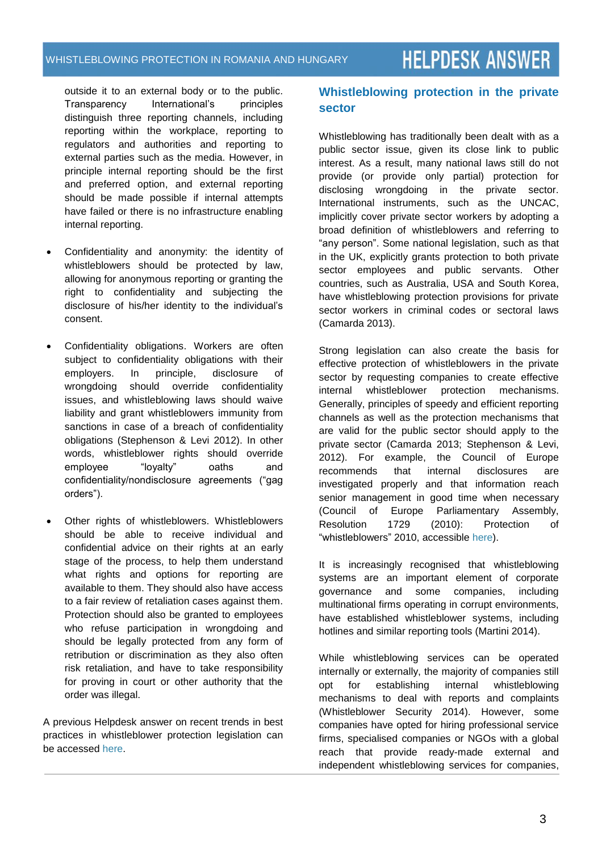outside it to an external body or to the public. Transparency International's principles distinguish three reporting channels, including reporting within the workplace, reporting to regulators and authorities and reporting to external parties such as the media. However, in principle internal reporting should be the first and preferred option, and external reporting should be made possible if internal attempts have failed or there is no infrastructure enabling internal reporting.

- Confidentiality and anonymity: the identity of whistleblowers should be protected by law, allowing for anonymous reporting or granting the right to confidentiality and subjecting the disclosure of his/her identity to the individual's consent.
- Confidentiality obligations. Workers are often subject to confidentiality obligations with their employers. In principle, disclosure of wrongdoing should override confidentiality issues, and whistleblowing laws should waive liability and grant whistleblowers immunity from sanctions in case of a breach of confidentiality obligations (Stephenson & Levi 2012). In other words, whistleblower rights should override employee "loyalty" oaths and confidentiality/nondisclosure agreements ("gag orders").
- Other rights of whistleblowers. Whistleblowers should be able to receive individual and confidential advice on their rights at an early stage of the process, to help them understand what rights and options for reporting are available to them. They should also have access to a fair review of retaliation cases against them. Protection should also be granted to employees who refuse participation in wrongdoing and should be legally protected from any form of retribution or discrimination as they also often risk retaliation, and have to take responsibility for proving in court or other authority that the order was illegal.

A previous Helpdesk answer on recent trends in best practices in whistleblower protection legislation can be accessed [here.](http://www.transparency.org/whatwedo/answer/recent_trends_in_best_practices_in_whistleblower_protection_legislation)

#### **Whistleblowing protection in the private sector**

Whistleblowing has traditionally been dealt with as a public sector issue, given its close link to public interest. As a result, many national laws still do not provide (or provide only partial) protection for disclosing wrongdoing in the private sector. International instruments, such as the UNCAC, implicitly cover private sector workers by adopting a broad definition of whistleblowers and referring to "any person". Some national legislation, such as that in the UK, explicitly grants protection to both private sector employees and public servants. Other countries, such as Australia, USA and South Korea, have whistleblowing protection provisions for private sector workers in criminal codes or sectoral laws (Camarda 2013).

Strong legislation can also create the basis for effective protection of whistleblowers in the private sector by requesting companies to create effective internal whistleblower protection mechanisms. Generally, principles of speedy and efficient reporting channels as well as the protection mechanisms that are valid for the public sector should apply to the private sector (Camarda 2013; Stephenson & Levi, 2012). For example, the Council of Europe recommends that internal disclosures are investigated properly and that information reach senior management in good time when necessary (Council of Europe Parliamentary Assembly, Resolution 1729 (2010): Protection of "whistleblowers" 2010, accessible [here\)](http://assembly.coe.int/nw/xml/XRef/Xref-XML2HTML-en.asp?fileid=17851&lang=en).

It is increasingly recognised that whistleblowing systems are an important element of corporate governance and some companies, including multinational firms operating in corrupt environments, have established whistleblower systems, including hotlines and similar reporting tools (Martini 2014).

While whistleblowing services can be operated internally or externally, the majority of companies still opt for establishing internal whistleblowing mechanisms to deal with reports and complaints (Whistleblower Security 2014). However, some companies have opted for hiring professional service firms, specialised companies or NGOs with a global reach that provide ready-made external and independent whistleblowing services for companies,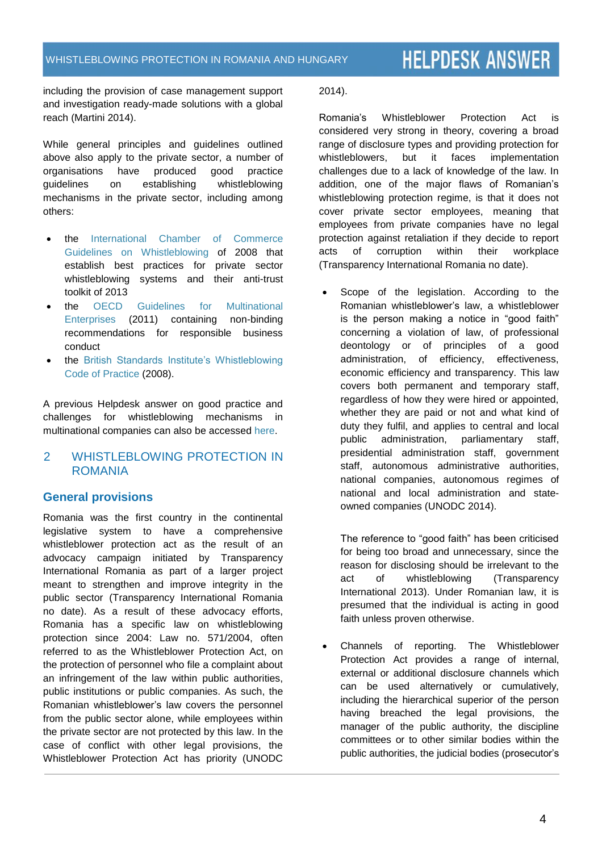### **HELPDESK ANSWER**

including the provision of case management support and investigation ready-made solutions with a global reach (Martini 2014).

While general principles and guidelines outlined above also apply to the private sector, a number of organisations have produced good practice guidelines on establishing whistleblowing mechanisms in the private sector, including among others:

- the [International Chamber of Commerce](http://www.iccwbo.org/Advocacy-Codes-and-Rules/Document-centre/2008/ICC-Guidelines-on-Whistleblowing/)  [Guidelines on Whistleblowing](http://www.iccwbo.org/Advocacy-Codes-and-Rules/Document-centre/2008/ICC-Guidelines-on-Whistleblowing/) of 2008 that establish best practices for private sector whistleblowing systems and their anti-trust toolkit of 2013
- the [OECD Guidelines for Multinational](http://www.oecd.org/corporate/mne/) [Enterprises](http://www.oecd.org/corporate/mne/) (2011) containing non-binding recommendations for responsible business conduct
- the [British Standards Institute's Whistleblowing](http://shop.bsigroup.com/forms/PASs/PAS-1998/)  [Code of Practice](http://shop.bsigroup.com/forms/PASs/PAS-1998/) (2008).

A previous Helpdesk answer on good practice and challenges for whistleblowing mechanisms in multinational companies can also be accessed [here.](http://www.transparency.org/whatwedo/answer/best_practice_and_challenges_for_whistleblowing_systems_in_multinational_co)

#### 2 WHISTLEBLOWING PROTECTION IN ROMANIA

#### **General provisions**

Romania was the first country in the continental legislative system to have a comprehensive whistleblower protection act as the result of an advocacy campaign initiated by Transparency International Romania as part of a larger project meant to strengthen and improve integrity in the public sector (Transparency International Romania no date). As a result of these advocacy efforts, Romania has a specific law on whistleblowing protection since 2004: Law no. 571/2004, often referred to as the Whistleblower Protection Act, on the protection of personnel who file a complaint about an infringement of the law within public authorities, public institutions or public companies. As such, the Romanian whistleblower's law covers the personnel from the public sector alone, while employees within the private sector are not protected by this law. In the case of conflict with other legal provisions, the Whistleblower Protection Act has priority (UNODC 2014).

Romania's Whistleblower Protection Act is considered very strong in theory, covering a broad range of disclosure types and providing protection for whistleblowers, but it faces implementation challenges due to a lack of knowledge of the law. In addition, one of the major flaws of Romanian's whistleblowing protection regime, is that it does not cover private sector employees, meaning that employees from private companies have no legal protection against retaliation if they decide to report acts of corruption within their workplace (Transparency International Romania no date).

 Scope of the legislation. According to the Romanian whistleblower's law, a whistleblower is the person making a notice in "good faith" concerning a violation of law, of professional deontology or of principles of a good administration, of efficiency, effectiveness, economic efficiency and transparency. This law covers both permanent and temporary staff, regardless of how they were hired or appointed, whether they are paid or not and what kind of duty they fulfil, and applies to central and local public administration, parliamentary staff, presidential administration staff, government staff, autonomous administrative authorities, national companies, autonomous regimes of national and local administration and stateowned companies (UNODC 2014).

The reference to "good faith" has been criticised for being too broad and unnecessary, since the reason for disclosing should be irrelevant to the act of whistleblowing (Transparency International 2013). Under Romanian law, it is presumed that the individual is acting in good faith unless proven otherwise.

 Channels of reporting. The Whistleblower Protection Act provides a range of internal, external or additional disclosure channels which can be used alternatively or cumulatively, including the hierarchical superior of the person having breached the legal provisions, the manager of the public authority, the discipline committees or to other similar bodies within the public authorities, the judicial bodies (prosecutor's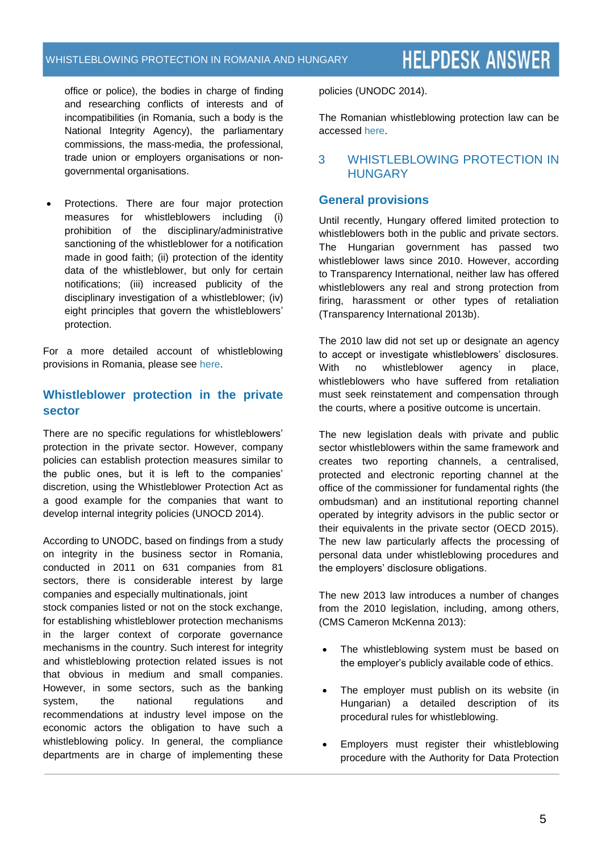#### WHISTLEBLOWING PROTECTION IN ROMANIA AND HUNGARY

### **HELPDESK ANSWER**

office or police), the bodies in charge of finding and researching conflicts of interests and of incompatibilities (in Romania, such a body is the National Integrity Agency), the parliamentary commissions, the mass-media, the professional, trade union or employers organisations or nongovernmental organisations.

 Protections. There are four major protection measures for whistleblowers including (i) prohibition of the disciplinary/administrative sanctioning of the whistleblower for a notification made in good faith; (ii) protection of the identity data of the whistleblower, but only for certain notifications; (iii) increased publicity of the disciplinary investigation of a whistleblower; (iv) eight principles that govern the whistleblowers' protection.

For a more detailed account of whistleblowing provisions in Romania, please see [here.](http://www.transparency.org.ro/politici_si_studii/studii/avertizarea_de_integritate_europa/RomaniaCountryReport.pdf)

#### **Whistleblower protection in the private sector**

There are no specific regulations for whistleblowers' protection in the private sector. However, company policies can establish protection measures similar to the public ones, but it is left to the companies' discretion, using the Whistleblower Protection Act as a good example for the companies that want to develop internal integrity policies (UNOCD 2014).

According to UNODC, based on findings from a study on integrity in the business sector in Romania, conducted in 2011 on 631 companies from 81 sectors, there is considerable interest by large companies and especially multinationals, joint stock companies listed or not on the stock exchange, for establishing whistleblower protection mechanisms in the larger context of corporate governance mechanisms in the country. Such interest for integrity and whistleblowing protection related issues is not that obvious in medium and small companies. However, in some sectors, such as the banking system, the national regulations and recommendations at industry level impose on the economic actors the obligation to have such a whistleblowing policy. In general, the compliance departments are in charge of implementing these policies (UNODC 2014).

The Romanian whistleblowing protection law can be accessed [here.](http://www.whistleblowing.it/Romanian%20Law%20571-2004%20-%20whistleblowingEN.pdf)

#### 3 WHISTLEBLOWING PROTECTION IN **HUNGARY**

#### **General provisions**

Until recently, Hungary offered limited protection to whistleblowers both in the public and private sectors. The Hungarian government has passed two whistleblower laws since 2010. However, according to Transparency International, neither law has offered whistleblowers any real and strong protection from firing, harassment or other types of retaliation (Transparency International 2013b).

The 2010 law did not set up or designate an agency to accept or investigate whistleblowers' disclosures. With no whistleblower agency in place, whistleblowers who have suffered from retaliation must seek reinstatement and compensation through the courts, where a positive outcome is uncertain.

The new legislation deals with private and public sector whistleblowers within the same framework and creates two reporting channels, a centralised, protected and electronic reporting channel at the office of the commissioner for fundamental rights (the ombudsman) and an institutional reporting channel operated by integrity advisors in the public sector or their equivalents in the private sector (OECD 2015). The new law particularly affects the processing of personal data under whistleblowing procedures and the employers' disclosure obligations.

The new 2013 law introduces a number of changes from the 2010 legislation, including, among others, [\(CMS Cameron McKenna 2](http://www.lexology.com/contributors/647/)013):

- The whistleblowing system must be based on the employer's publicly available code of ethics.
- The employer must publish on its website (in Hungarian) a detailed description of its procedural rules for whistleblowing.
- Employers must register their whistleblowing procedure with the Authority for Data Protection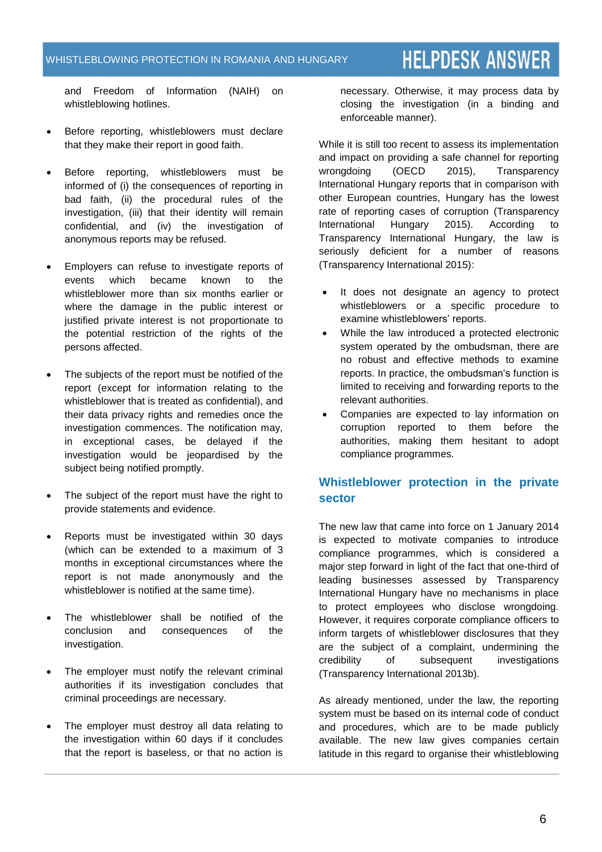### **HELPDESK ANSWER**

and Freedom of Information (NAIH) on whistleblowing hotlines.

- Before reporting, whistleblowers must declare that they make their report in good faith.
- Before reporting, whistleblowers must be informed of (i) the consequences of reporting in bad faith, (ii) the procedural rules of the investigation, (iii) that their identity will remain confidential, and (iv) the investigation of anonymous reports may be refused.
- Employers can refuse to investigate reports of events which became known to the whistleblower more than six months earlier or where the damage in the public interest or justified private interest is not proportionate to the potential restriction of the rights of the persons affected.
- The subjects of the report must be notified of the report (except for information relating to the whistleblower that is treated as confidential), and their data privacy rights and remedies once the investigation commences. The notification may, in exceptional cases, be delayed if the investigation would be jeopardised by the subject being notified promptly.
- The subject of the report must have the right to provide statements and evidence.
- Reports must be investigated within 30 days (which can be extended to a maximum of 3 months in exceptional circumstances where the report is not made anonymously and the whistleblower is notified at the same time).
- The whistleblower shall be notified of the conclusion and consequences of the investigation.
- The employer must notify the relevant criminal authorities if its investigation concludes that criminal proceedings are necessary.
- The employer must destroy all data relating to the investigation within 60 days if it concludes that the report is baseless, or that no action is

necessary. Otherwise, it may process data by closing the investigation (in a binding and enforceable manner).

While it is still too recent to assess its implementation and impact on providing a safe channel for reporting wrongdoing (OECD 2015), Transparency International Hungary reports that in comparison with other European countries, Hungary has the lowest rate of reporting cases of corruption (Transparency International Hungary 2015). According to Transparency International Hungary, the law is seriously deficient for a number of reasons (Transparency International 2015):

- It does not designate an agency to protect whistleblowers or a specific procedure to examine whistleblowers' reports.
- While the law introduced a protected electronic system operated by the ombudsman, there are no robust and effective methods to examine reports. In practice, the ombudsman's function is limited to receiving and forwarding reports to the relevant authorities.
- Companies are expected to lay information on corruption reported to them before the authorities, making them hesitant to adopt compliance programmes.

#### **Whistleblower protection in the private sector**

The new law that came into force on 1 January 2014 is expected to motivate companies to introduce compliance programmes, which is considered a major step forward in light of the fact that one-third of leading businesses assessed by Transparency International Hungary have no mechanisms in place to protect employees who disclose wrongdoing. However, it requires corporate compliance officers to inform targets of whistleblower disclosures that they are the subject of a complaint, undermining the credibility of subsequent investigations (Transparency International 2013b).

As already mentioned, under the law, the reporting system must be based on its internal code of conduct and procedures, which are to be made publicly available. The new law gives companies certain latitude in this regard to organise their whistleblowing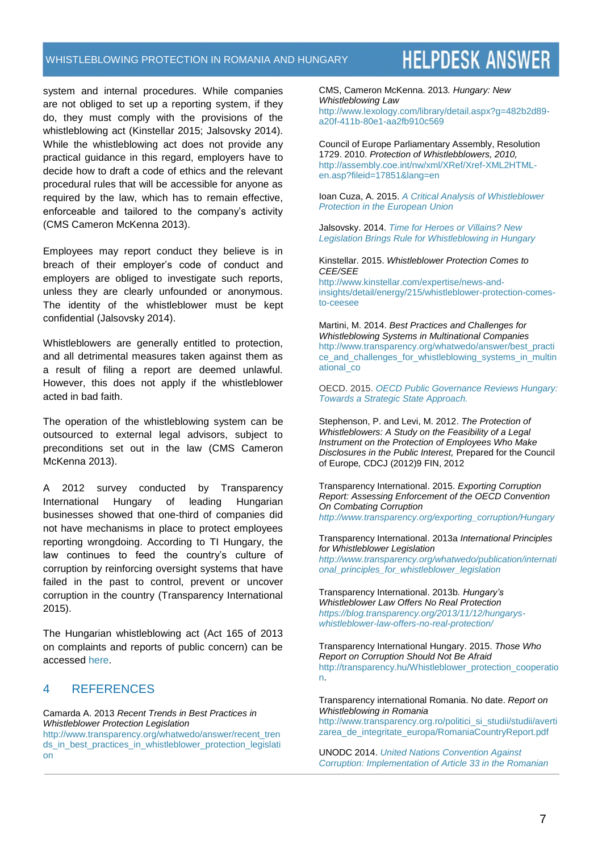#### WHISTLEBLOWING PROTECTION IN ROMANIA AND HUNGARY

### **HELPDESK ANSWER**

system and internal procedures. While companies are not obliged to set up a reporting system, if they do, they must comply with the provisions of the whistleblowing act (Kinstellar 2015; Jalsovsky 2014). While the whistleblowing act does not provide any practical guidance in this regard, employers have to decide how to draft a code of ethics and the relevant procedural rules that will be accessible for anyone as required by the law, which has to remain effective, enforceable and tailored to the company's activity [\(CMS Cameron McKenna 2](http://www.lexology.com/contributors/647/)013).

Employees may report conduct they believe is in breach of their employer's code of conduct and employers are obliged to investigate such reports, unless they are clearly unfounded or anonymous. The identity of the whistleblower must be kept confidential (Jalsovsky 2014).

Whistleblowers are generally entitled to protection, and all detrimental measures taken against them as a result of filing a report are deemed unlawful. However, this does not apply if the whistleblower acted in bad faith.

The operation of the whistleblowing system can be outsourced to external legal advisors, subject to preconditions set out in the law [\(CMS Cameron](http://www.lexology.com/contributors/647/)  [McKenna 2](http://www.lexology.com/contributors/647/)013).

A 2012 survey conducted by Transparency International Hungary of leading Hungarian businesses showed that one-third of companies did not have mechanisms in place to protect employees reporting wrongdoing. According to TI Hungary, the law continues to feed the country's culture of corruption by reinforcing oversight systems that have failed in the past to control, prevent or uncover corruption in the country (Transparency International 2015).

The Hungarian whistleblowing act (Act 165 of 2013 on complaints and reports of public concern) can be accessed [here.](http://corruptionprevention.gov.hu/download/7/a2/90000/KIM%20555_2013-4.pdf)

#### 4 REFERENCES

Camarda A. 2013 *Recent Trends in Best Practices in Whistleblower Protection Legislation*

[http://www.transparency.org/whatwedo/answer/recent\\_tren](http://www.transparency.org/whatwedo/answer/recent_trends_in_best_practices_in_whistleblower_protection_legislation) [ds\\_in\\_best\\_practices\\_in\\_whistleblower\\_protection\\_legislati](http://www.transparency.org/whatwedo/answer/recent_trends_in_best_practices_in_whistleblower_protection_legislation) [on](http://www.transparency.org/whatwedo/answer/recent_trends_in_best_practices_in_whistleblower_protection_legislation)

CMS, [Cameron McKenna.](http://www.lexology.com/contributors/647/) 2013*. Hungary: New Whistleblowing Law*  [http://www.lexology.com/library/detail.aspx?g=482b2d89](http://www.lexology.com/library/detail.aspx?g=482b2d89-a20f-411b-80e1-aa2fb910c569) [a20f-411b-80e1-aa2fb910c569](http://www.lexology.com/library/detail.aspx?g=482b2d89-a20f-411b-80e1-aa2fb910c569)

Council of Europe Parliamentary Assembly, Resolution 1729. 2010. *Protection of Whistlebblowers, 2010,* [http://assembly.coe.int/nw/xml/XRef/Xref-XML2HTML](http://assembly.coe.int/nw/xml/XRef/Xref-XML2HTML-en.asp?fileid=17851&lang=en)[en.asp?fileid=17851&lang=en](http://assembly.coe.int/nw/xml/XRef/Xref-XML2HTML-en.asp?fileid=17851&lang=en)

Ioan Cuza, A. 2015. *A [Critical Analysis of Whistleblower](http://www.jopafl.com/uploads/issue7/A_CRITICAL_ANALYSIS_OF_WHISTLEBLOWER_PROTECTION_IN_THE_EUROPEAN_UNION.pdf)  [Protection in the European](http://www.jopafl.com/uploads/issue7/A_CRITICAL_ANALYSIS_OF_WHISTLEBLOWER_PROTECTION_IN_THE_EUROPEAN_UNION.pdf) Union*

Jalsovsky. 2014. *[Time for Heroes or Villains? New](http://jalsovszky.com/documents/jalsovszky-newsletter-eng-1402.pdf)  [Legislation Brings Rule for Whistleblowing in Hungary](http://jalsovszky.com/documents/jalsovszky-newsletter-eng-1402.pdf)*

Kinstellar. 2015. *Whistleblower Protection Comes to CEE/SEE*

[http://www.kinstellar.com/expertise/news-and](http://www.kinstellar.com/expertise/news-and-insights/detail/energy/215/whistleblower-protection-comes-to-ceesee)[insights/detail/energy/215/whistleblower-protection-comes](http://www.kinstellar.com/expertise/news-and-insights/detail/energy/215/whistleblower-protection-comes-to-ceesee)[to-ceesee](http://www.kinstellar.com/expertise/news-and-insights/detail/energy/215/whistleblower-protection-comes-to-ceesee)

Martini, M. 2014. *Best Practices and Challenges for Whistleblowing Systems in Multinational Companies* [http://www.transparency.org/whatwedo/answer/best\\_practi](http://www.transparency.org/whatwedo/answer/best_practice_and_challenges_for_whistleblowing_systems_in_multinational_co) [ce\\_and\\_challenges\\_for\\_whistleblowing\\_systems\\_in\\_multin](http://www.transparency.org/whatwedo/answer/best_practice_and_challenges_for_whistleblowing_systems_in_multinational_co) [ational\\_co](http://www.transparency.org/whatwedo/answer/best_practice_and_challenges_for_whistleblowing_systems_in_multinational_co)

OECD. 2015. *[OECD Public Governance Reviews Hungary:](https://books.google.de/books?id=qG0sBgAAQBAJ&pg=PA138&lpg=PA138&dq=WHISTLEBLOWING+PROTECTION+IN+HUNGARY&source=bl&ots=Hg34cB0_4Z&sig=7pVtT3037g1ZQ491LPSoDKpChQo&hl=de&sa=X&ved=0CDYQ6AEwAjgKahUKEwjZs-L-8NjIAhVCoRoKHZP8C9k#v=onepage&q=WHISTLEBLOWING%20PROTECTION%20IN%20HUNGARY&f=false)  [Towards a Strategic State Approach.](https://books.google.de/books?id=qG0sBgAAQBAJ&pg=PA138&lpg=PA138&dq=WHISTLEBLOWING+PROTECTION+IN+HUNGARY&source=bl&ots=Hg34cB0_4Z&sig=7pVtT3037g1ZQ491LPSoDKpChQo&hl=de&sa=X&ved=0CDYQ6AEwAjgKahUKEwjZs-L-8NjIAhVCoRoKHZP8C9k#v=onepage&q=WHISTLEBLOWING%20PROTECTION%20IN%20HUNGARY&f=false)*

Stephenson, P. and Levi, M. 2012. *The Protection of Whistleblowers: A Study on the Feasibility of a Legal Instrument on the Protection of Employees Who Make Disclosures in the Public Interest,* Prepared for the Council of Europe*,* CDCJ (2012)9 FIN, 2012

Transparency International. 2015. *Exporting Corruption Report: Assessing Enforcement of the OECD Convention On Combating Corruption [http://www.transparency.org/exporting\\_corruption/Hungary](http://www.transparency.org/exporting_corruption/Hungary)*

Transparency International. 2013a *International Principles for Whistleblower Legislation* 

*[http://www.transparency.org/whatwedo/publication/internati](http://www.transparency.org/whatwedo/publication/international_principles_for_whistleblower_legislation) [onal\\_principles\\_for\\_whistleblower\\_legislation](http://www.transparency.org/whatwedo/publication/international_principles_for_whistleblower_legislation)*

Transparency International. 2013b*. Hungary's Whistleblower Law Offers No Real Protection [https://blog.transparency.org/2013/11/12/hungarys](https://blog.transparency.org/2013/11/12/hungarys-whistleblower-law-offers-no-real-protection/)[whistleblower-law-offers-no-real-protection/](https://blog.transparency.org/2013/11/12/hungarys-whistleblower-law-offers-no-real-protection/)*

Transparency International Hungary. 2015. *Those Who Report on Corruption Should Not Be Afraid* [http://transparency.hu/Whistleblower\\_protection\\_cooperatio](http://transparency.hu/Whistleblower_protection_cooperation) [n.](http://transparency.hu/Whistleblower_protection_cooperation)

Transparency international Romania. No date. *Report on Whistleblowing in Romania*

[http://www.transparency.org.ro/politici\\_si\\_studii/studii/averti](http://www.transparency.org.ro/politici_si_studii/studii/avertizarea_de_integritate_europa/RomaniaCountryReport.pdf) [zarea\\_de\\_integritate\\_europa/RomaniaCountryReport.pdf](http://www.transparency.org.ro/politici_si_studii/studii/avertizarea_de_integritate_europa/RomaniaCountryReport.pdf)

UNODC 2014. *[United Nations Convention Against](https://www.unodc.org/documents/treaties/UNCAC/WorkingGroups/ImplementationReviewGroup/2-6June2014/PanelPresentations/Romania_Presentation_on_whistleblowers.pdf)  Corruption: [Implementation of Article 33 in the Romanian](https://www.unodc.org/documents/treaties/UNCAC/WorkingGroups/ImplementationReviewGroup/2-6June2014/PanelPresentations/Romania_Presentation_on_whistleblowers.pdf)*